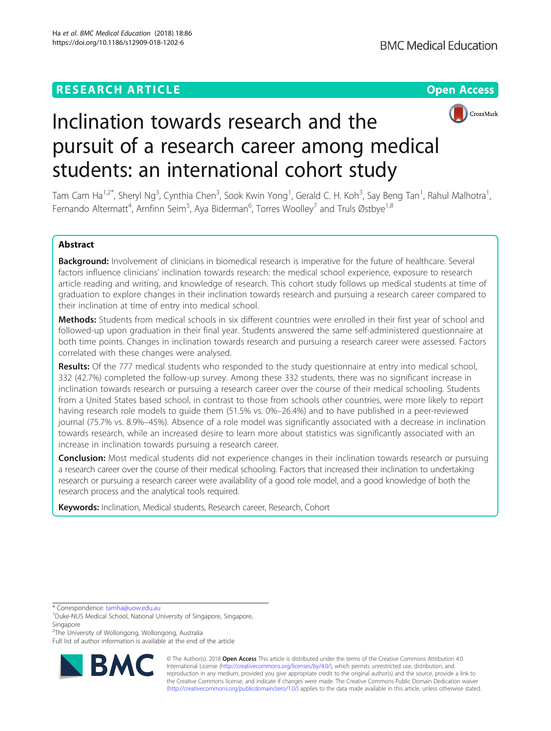## **RESEARCH ARTICLE Example 2018 12:30 THE Open Access**





# Inclination towards research and the pursuit of a research career among medical students: an international cohort study

Tam Cam Ha<sup>1,2\*</sup>, Sheryl Ng<sup>3</sup>, Cynthia Chen<sup>3</sup>, Sook Kwin Yong<sup>1</sup>, Gerald C. H. Koh<sup>3</sup>, Say Beng Tan<sup>1</sup>, Rahul Malhotra<sup>1</sup> , Fernando Altermatt<sup>4</sup>, Arnfinn Seim<sup>5</sup>, Aya Biderman<sup>6</sup>, Torres Woolley<sup>7</sup> and Truls Østbye<sup>1,8</sup>

## Abstract

Background: Involvement of clinicians in biomedical research is imperative for the future of healthcare. Several factors influence clinicians' inclination towards research: the medical school experience, exposure to research article reading and writing, and knowledge of research. This cohort study follows up medical students at time of graduation to explore changes in their inclination towards research and pursuing a research career compared to their inclination at time of entry into medical school.

Methods: Students from medical schools in six different countries were enrolled in their first year of school and followed-up upon graduation in their final year. Students answered the same self-administered questionnaire at both time points. Changes in inclination towards research and pursuing a research career were assessed. Factors correlated with these changes were analysed.

Results: Of the 777 medical students who responded to the study questionnaire at entry into medical school, 332 (42.7%) completed the follow-up survey. Among these 332 students, there was no significant increase in inclination towards research or pursuing a research career over the course of their medical schooling. Students from a United States based school, in contrast to those from schools other countries, were more likely to report having research role models to guide them (51.5% vs. 0%–26.4%) and to have published in a peer-reviewed journal (75.7% vs. 8.9%–45%). Absence of a role model was significantly associated with a decrease in inclination towards research, while an increased desire to learn more about statistics was significantly associated with an increase in inclination towards pursuing a research career.

Conclusion: Most medical students did not experience changes in their inclination towards research or pursuing a research career over the course of their medical schooling. Factors that increased their inclination to undertaking research or pursuing a research career were availability of a good role model, and a good knowledge of both the research process and the analytical tools required.

Keywords: Inclination, Medical students, Research career, Research, Cohort

\* Correspondence: [tamha@uow.edu.au](mailto:tamha@uow.edu.au) <sup>1</sup>

<sup>2</sup>The University of Wollongong, Wollongong, Australia

Full list of author information is available at the end of the article



© The Author(s). 2018 Open Access This article is distributed under the terms of the Creative Commons Attribution 4.0 International License [\(http://creativecommons.org/licenses/by/4.0/](http://creativecommons.org/licenses/by/4.0/)), which permits unrestricted use, distribution, and reproduction in any medium, provided you give appropriate credit to the original author(s) and the source, provide a link to the Creative Commons license, and indicate if changes were made. The Creative Commons Public Domain Dedication waiver [\(http://creativecommons.org/publicdomain/zero/1.0/](http://creativecommons.org/publicdomain/zero/1.0/)) applies to the data made available in this article, unless otherwise stated.

<sup>&</sup>lt;sup>1</sup> Duke-NUS Medical School, National University of Singapore, Singapore, Singapore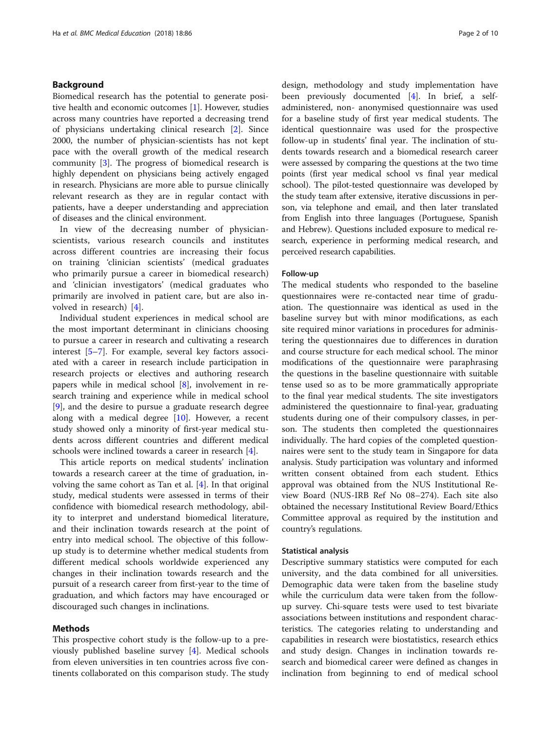## Background

Biomedical research has the potential to generate positive health and economic outcomes [\[1](#page-9-0)]. However, studies across many countries have reported a decreasing trend of physicians undertaking clinical research [\[2](#page-9-0)]. Since 2000, the number of physician-scientists has not kept pace with the overall growth of the medical research community [[3\]](#page-9-0). The progress of biomedical research is highly dependent on physicians being actively engaged in research. Physicians are more able to pursue clinically relevant research as they are in regular contact with patients, have a deeper understanding and appreciation of diseases and the clinical environment.

In view of the decreasing number of physicianscientists, various research councils and institutes across different countries are increasing their focus on training 'clinician scientists' (medical graduates who primarily pursue a career in biomedical research) and 'clinician investigators' (medical graduates who primarily are involved in patient care, but are also involved in research) [[4\]](#page-9-0).

Individual student experiences in medical school are the most important determinant in clinicians choosing to pursue a career in research and cultivating a research interest [\[5](#page-9-0)–[7\]](#page-9-0). For example, several key factors associated with a career in research include participation in research projects or electives and authoring research papers while in medical school [[8\]](#page-9-0), involvement in research training and experience while in medical school [[9\]](#page-9-0), and the desire to pursue a graduate research degree along with a medical degree [[10\]](#page-9-0). However, a recent study showed only a minority of first-year medical students across different countries and different medical schools were inclined towards a career in research [[4\]](#page-9-0).

This article reports on medical students' inclination towards a research career at the time of graduation, involving the same cohort as Tan et al. [\[4](#page-9-0)]. In that original study, medical students were assessed in terms of their confidence with biomedical research methodology, ability to interpret and understand biomedical literature, and their inclination towards research at the point of entry into medical school. The objective of this followup study is to determine whether medical students from different medical schools worldwide experienced any changes in their inclination towards research and the pursuit of a research career from first-year to the time of graduation, and which factors may have encouraged or discouraged such changes in inclinations.

## Methods

This prospective cohort study is the follow-up to a previously published baseline survey [\[4](#page-9-0)]. Medical schools from eleven universities in ten countries across five continents collaborated on this comparison study. The study design, methodology and study implementation have been previously documented [\[4](#page-9-0)]. In brief, a selfadministered, non- anonymised questionnaire was used for a baseline study of first year medical students. The identical questionnaire was used for the prospective follow-up in students' final year. The inclination of students towards research and a biomedical research career were assessed by comparing the questions at the two time points (first year medical school vs final year medical school). The pilot-tested questionnaire was developed by the study team after extensive, iterative discussions in person, via telephone and email, and then later translated from English into three languages (Portuguese, Spanish and Hebrew). Questions included exposure to medical research, experience in performing medical research, and perceived research capabilities.

## Follow-up

The medical students who responded to the baseline questionnaires were re-contacted near time of graduation. The questionnaire was identical as used in the baseline survey but with minor modifications, as each site required minor variations in procedures for administering the questionnaires due to differences in duration and course structure for each medical school. The minor modifications of the questionnaire were paraphrasing the questions in the baseline questionnaire with suitable tense used so as to be more grammatically appropriate to the final year medical students. The site investigators administered the questionnaire to final-year, graduating students during one of their compulsory classes, in person. The students then completed the questionnaires individually. The hard copies of the completed questionnaires were sent to the study team in Singapore for data analysis. Study participation was voluntary and informed written consent obtained from each student. Ethics approval was obtained from the NUS Institutional Review Board (NUS-IRB Ref No 08–274). Each site also obtained the necessary Institutional Review Board/Ethics Committee approval as required by the institution and country's regulations.

## Statistical analysis

Descriptive summary statistics were computed for each university, and the data combined for all universities. Demographic data were taken from the baseline study while the curriculum data were taken from the followup survey. Chi-square tests were used to test bivariate associations between institutions and respondent characteristics. The categories relating to understanding and capabilities in research were biostatistics, research ethics and study design. Changes in inclination towards research and biomedical career were defined as changes in inclination from beginning to end of medical school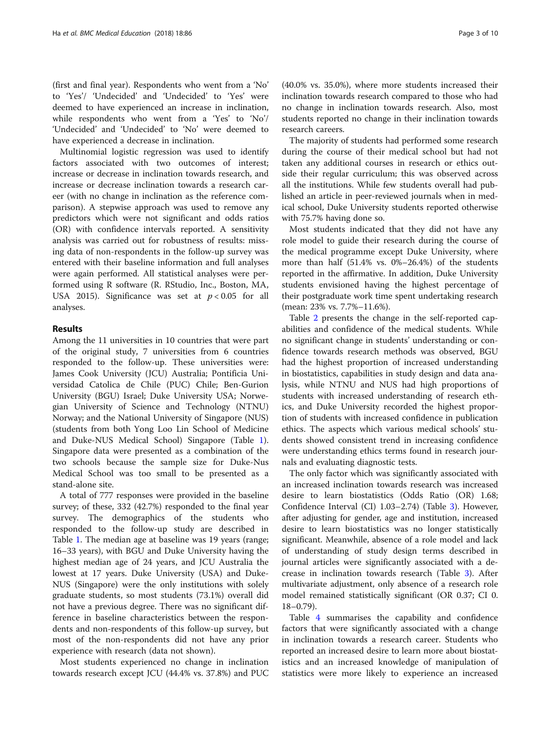(first and final year). Respondents who went from a 'No' to 'Yes'/ 'Undecided' and 'Undecided' to 'Yes' were deemed to have experienced an increase in inclination, while respondents who went from a 'Yes' to 'No'/ 'Undecided' and 'Undecided' to 'No' were deemed to have experienced a decrease in inclination.

Multinomial logistic regression was used to identify factors associated with two outcomes of interest; increase or decrease in inclination towards research, and increase or decrease inclination towards a research career (with no change in inclination as the reference comparison). A stepwise approach was used to remove any predictors which were not significant and odds ratios (OR) with confidence intervals reported. A sensitivity analysis was carried out for robustness of results: missing data of non-respondents in the follow-up survey was entered with their baseline information and full analyses were again performed. All statistical analyses were performed using R software (R. RStudio, Inc., Boston, MA, USA 2015). Significance was set at  $p < 0.05$  for all analyses.

## Results

Among the 11 universities in 10 countries that were part of the original study, 7 universities from 6 countries responded to the follow-up. These universities were: James Cook University (JCU) Australia; Pontificia Universidad Catolica de Chile (PUC) Chile; Ben-Gurion University (BGU) Israel; Duke University USA; Norwegian University of Science and Technology (NTNU) Norway; and the National University of Singapore (NUS) (students from both Yong Loo Lin School of Medicine and Duke-NUS Medical School) Singapore (Table [1](#page-3-0)). Singapore data were presented as a combination of the two schools because the sample size for Duke-Nus Medical School was too small to be presented as a stand-alone site.

A total of 777 responses were provided in the baseline survey; of these, 332 (42.7%) responded to the final year survey. The demographics of the students who responded to the follow-up study are described in Table [1.](#page-3-0) The median age at baseline was 19 years (range; 16–33 years), with BGU and Duke University having the highest median age of 24 years, and JCU Australia the lowest at 17 years. Duke University (USA) and Duke-NUS (Singapore) were the only institutions with solely graduate students, so most students (73.1%) overall did not have a previous degree. There was no significant difference in baseline characteristics between the respondents and non-respondents of this follow-up survey, but most of the non-respondents did not have any prior experience with research (data not shown).

Most students experienced no change in inclination towards research except JCU (44.4% vs. 37.8%) and PUC

(40.0% vs. 35.0%), where more students increased their inclination towards research compared to those who had no change in inclination towards research. Also, most students reported no change in their inclination towards research careers.

The majority of students had performed some research during the course of their medical school but had not taken any additional courses in research or ethics outside their regular curriculum; this was observed across all the institutions. While few students overall had published an article in peer-reviewed journals when in medical school, Duke University students reported otherwise with 75.7% having done so.

Most students indicated that they did not have any role model to guide their research during the course of the medical programme except Duke University, where more than half (51.4% vs. 0%–26.4%) of the students reported in the affirmative. In addition, Duke University students envisioned having the highest percentage of their postgraduate work time spent undertaking research (mean: 23% vs. 7.7%–11.6%).

Table [2](#page-5-0) presents the change in the self-reported capabilities and confidence of the medical students. While no significant change in students' understanding or confidence towards research methods was observed, BGU had the highest proportion of increased understanding in biostatistics, capabilities in study design and data analysis, while NTNU and NUS had high proportions of students with increased understanding of research ethics, and Duke University recorded the highest proportion of students with increased confidence in publication ethics. The aspects which various medical schools' students showed consistent trend in increasing confidence were understanding ethics terms found in research journals and evaluating diagnostic tests.

The only factor which was significantly associated with an increased inclination towards research was increased desire to learn biostatistics (Odds Ratio (OR) 1.68; Confidence Interval (CI) 1.03–2.74) (Table [3](#page-7-0)). However, after adjusting for gender, age and institution, increased desire to learn biostatistics was no longer statistically significant. Meanwhile, absence of a role model and lack of understanding of study design terms described in journal articles were significantly associated with a decrease in inclination towards research (Table [3](#page-7-0)). After multivariate adjustment, only absence of a research role model remained statistically significant (OR 0.37; CI 0.  $18-0.79$ ).

Table [4](#page-8-0) summarises the capability and confidence factors that were significantly associated with a change in inclination towards a research career. Students who reported an increased desire to learn more about biostatistics and an increased knowledge of manipulation of statistics were more likely to experience an increased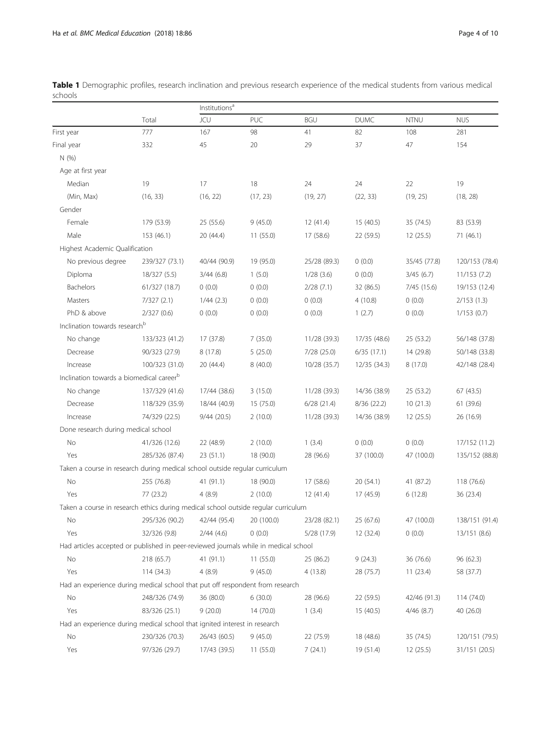|                                                                                      |                | Institutions <sup>a</sup> |            |              |              |              |                |
|--------------------------------------------------------------------------------------|----------------|---------------------------|------------|--------------|--------------|--------------|----------------|
|                                                                                      | Total          | JCU                       | PUC        | <b>BGU</b>   | <b>DUMC</b>  | <b>NTNU</b>  | <b>NUS</b>     |
| First year                                                                           | 777            | 167                       | 98         | 41           | 82           | 108          | 281            |
| Final year                                                                           | 332            | 45                        | 20         | 29           | 37           | 47           | 154            |
| N (%)                                                                                |                |                           |            |              |              |              |                |
| Age at first year                                                                    |                |                           |            |              |              |              |                |
| Median                                                                               | 19             | 17                        | 18         | 24           | 24           | 22           | 19             |
| (Min, Max)                                                                           | (16, 33)       | (16, 22)                  | (17, 23)   | (19, 27)     | (22, 33)     | (19, 25)     | (18, 28)       |
| Gender                                                                               |                |                           |            |              |              |              |                |
| Female                                                                               | 179 (53.9)     | 25 (55.6)                 | 9(45.0)    | 12 (41.4)    | 15 (40.5)    | 35 (74.5)    | 83 (53.9)      |
| Male                                                                                 | 153 (46.1)     | 20 (44.4)                 | 11(55.0)   | 17 (58.6)    | 22 (59.5)    | 12(25.5)     | 71 (46.1)      |
| Highest Academic Qualification                                                       |                |                           |            |              |              |              |                |
| No previous degree                                                                   | 239/327 (73.1) | 40/44 (90.9)              | 19 (95.0)  | 25/28 (89.3) | 0(0.0)       | 35/45 (77.8) | 120/153 (78.4) |
| Diploma                                                                              | 18/327 (5.5)   | 3/44(6.8)                 | 1(5.0)     | 1/28(3.6)    | 0(0.0)       | 3/45(6.7)    | 11/153(7.2)    |
| Bachelors                                                                            | 61/327 (18.7)  | 0(0.0)                    | 0(0.0)     | 2/28(7.1)    | 32 (86.5)    | 7/45 (15.6)  | 19/153 (12.4)  |
| Masters                                                                              | 7/327(2.1)     | $1/44$ (2.3)              | 0(0.0)     | 0(0.0)       | 4(10.8)      | 0(0.0)       | 2/153(1.3)     |
| PhD & above                                                                          | 2/327(0.6)     | 0(0.0)                    | 0(0.0)     | 0(0.0)       | 1(2.7)       | 0(0.0)       | 1/153(0.7)     |
| Inclination towards research <sup>b</sup>                                            |                |                           |            |              |              |              |                |
| No change                                                                            | 133/323 (41.2) | 17 (37.8)                 | 7(35.0)    | 11/28 (39.3) | 17/35 (48.6) | 25(53.2)     | 56/148 (37.8)  |
| Decrease                                                                             | 90/323 (27.9)  | 8 (17.8)                  | 5(25.0)    | 7/28(25.0)   | 6/35(17.1)   | 14 (29.8)    | 50/148 (33.8)  |
| Increase                                                                             | 100/323 (31.0) | 20 (44.4)                 | 8(40.0)    | 10/28 (35.7) | 12/35 (34.3) | 8(17.0)      | 42/148 (28.4)  |
| Inclination towards a biomedical career <sup>b</sup>                                 |                |                           |            |              |              |              |                |
| No change                                                                            | 137/329 (41.6) | 17/44 (38.6)              | 3(15.0)    | 11/28 (39.3) | 14/36 (38.9) | 25 (53.2)    | 67(43.5)       |
| Decrease                                                                             | 118/329 (35.9) | 18/44 (40.9)              | 15 (75.0)  | 6/28(21.4)   | 8/36 (22.2)  | 10(21.3)     | 61 (39.6)      |
| Increase                                                                             | 74/329 (22.5)  | 9/44(20.5)                | 2(10.0)    | 11/28 (39.3) | 14/36 (38.9) | 12 (25.5)    | 26 (16.9)      |
| Done research during medical school                                                  |                |                           |            |              |              |              |                |
| No                                                                                   | 41/326 (12.6)  | 22 (48.9)                 | 2(10.0)    | 1(3.4)       | 0(0.0)       | 0(0.0)       | 17/152 (11.2)  |
| Yes                                                                                  | 285/326 (87.4) | 23(51.1)                  | 18 (90.0)  | 28 (96.6)    | 37 (100.0)   | 47 (100.0)   | 135/152 (88.8) |
| Taken a course in research during medical school outside regular curriculum          |                |                           |            |              |              |              |                |
| No                                                                                   | 255 (76.8)     | 41 (91.1)                 | 18 (90.0)  | 17 (58.6)    | 20 (54.1)    | 41 (87.2)    | 118 (76.6)     |
| Yes                                                                                  | 77 (23.2)      | 4(8.9)                    | 2(10.0)    | 12(41.4)     | 17 (45.9)    | 6(12.8)      | 36 (23.4)      |
| Taken a course in research ethics during medical school outside regular curriculum   |                |                           |            |              |              |              |                |
| No                                                                                   | 295/326 (90.2) | 42/44 (95.4)              | 20 (100.0) | 23/28 (82.1) | 25 (67.6)    | 47 (100.0)   | 138/151 (91.4) |
| Yes                                                                                  | 32/326 (9.8)   | 2/44(4.6)                 | 0(0.0)     | 5/28(17.9)   | 12 (32.4)    | (0.0)        | 13/151 (8.6)   |
| Had articles accepted or published in peer-reviewed journals while in medical school |                |                           |            |              |              |              |                |
| No                                                                                   | 218 (65.7)     | 41(91.1)                  | 11(55.0)   | 25 (86.2)    | 9(24.3)      | 36 (76.6)    | 96 (62.3)      |
| Yes                                                                                  | 114(34.3)      | 4(8.9)                    | 9(45.0)    | 4(13.8)      | 28 (75.7)    | 11(23.4)     | 58 (37.7)      |
| Had an experience during medical school that put off respondent from research        |                |                           |            |              |              |              |                |
| No                                                                                   | 248/326 (74.9) | 36 (80.0)                 | 6(30.0)    | 28 (96.6)    | 22 (59.5)    | 42/46 (91.3) | 114 (74.0)     |
| Yes                                                                                  | 83/326 (25.1)  | 9(20.0)                   | 14(70.0)   | 1(3.4)       | 15(40.5)     | 4/46 (8.7)   | 40 (26.0)      |
| Had an experience during medical school that ignited interest in research            |                |                           |            |              |              |              |                |
| No                                                                                   | 230/326 (70.3) | 26/43 (60.5)              | 9(45.0)    | 22 (75.9)    | 18 (48.6)    | 35 (74.5)    | 120/151 (79.5) |
| Yes                                                                                  | 97/326 (29.7)  | 17/43 (39.5)              | 11(55.0)   | 7(24.1)      | 19 (51.4)    | 12 (25.5)    | 31/151 (20.5)  |

<span id="page-3-0"></span>Table 1 Demographic profiles, research inclination and previous research experience of the medical students from various medical schools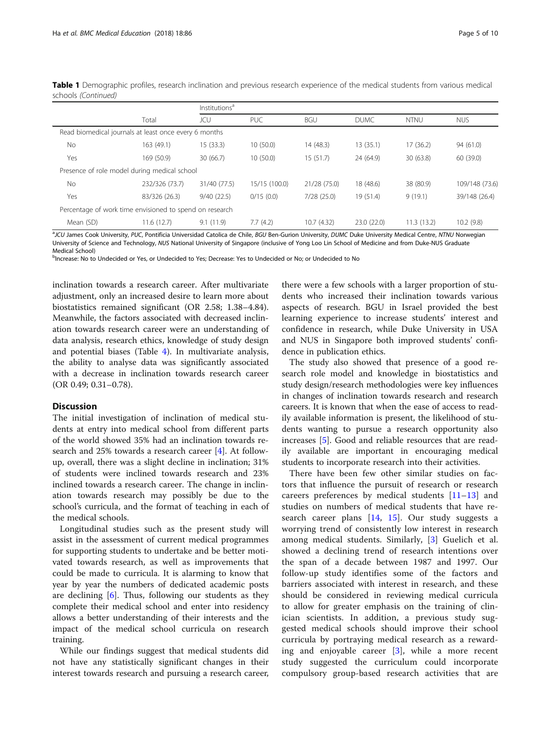|                                                         |                | Institutions <sup>a</sup> |               |              |             |             |                |
|---------------------------------------------------------|----------------|---------------------------|---------------|--------------|-------------|-------------|----------------|
|                                                         | Total          | JCU                       | <b>PUC</b>    | <b>BGU</b>   | <b>DUMC</b> | <b>NTNU</b> | <b>NUS</b>     |
| Read biomedical journals at least once every 6 months   |                |                           |               |              |             |             |                |
| No.                                                     | 163 (49.1)     | 15(33.3)                  | 10(50.0)      | 14 (48.3)    | 13(35.1)    | 17 (36.2)   | 94 (61.0)      |
| Yes                                                     | 169 (50.9)     | 30(66.7)                  | 10(50.0)      | 15(51.7)     | 24 (64.9)   | 30 (63.8)   | 60 (39.0)      |
| Presence of role model during medical school            |                |                           |               |              |             |             |                |
| No.                                                     | 232/326 (73.7) | 31/40 (77.5)              | 15/15 (100.0) | 21/28 (75.0) | 18 (48.6)   | 38 (80.9)   | 109/148 (73.6) |
| Yes                                                     | 83/326 (26.3)  | 9/40(22.5)                | 0/15(0.0)     | 7/28(25.0)   | 19 (51.4)   | 9(19.1)     | 39/148 (26.4)  |
| Percentage of work time envisioned to spend on research |                |                           |               |              |             |             |                |
| Mean (SD)                                               | 11.6(12.7)     | 9.1(11.9)                 | 7.7(4.2)      | 10.7(4.32)   | 23.0 (22.0) | 11.3(13.2)  | 10.2(9.8)      |

Table 1 Demographic profiles, research inclination and previous research experience of the medical students from various medical schools (Continued)

<sup>a</sup>JCU James Cook University, PUC, Pontificia Universidad Catolica de Chile, BGU Ben-Gurion University, DUMC Duke University Medical Centre, NTNU Norwegian University of Science and Technology, NUS National University of Singapore (inclusive of Yong Loo Lin School of Medicine and from Duke-NUS Graduate Medical School)

<sup>b</sup>Increase: No to Undecided or Yes, or Undecided to Yes; Decrease: Yes to Undecided or No; or Undecided to No

inclination towards a research career. After multivariate adjustment, only an increased desire to learn more about biostatistics remained significant (OR 2.58; 1.38–4.84). Meanwhile, the factors associated with decreased inclination towards research career were an understanding of data analysis, research ethics, knowledge of study design and potential biases (Table [4](#page-8-0)). In multivariate analysis, the ability to analyse data was significantly associated with a decrease in inclination towards research career (OR 0.49; 0.31–0.78).

#### **Discussion**

The initial investigation of inclination of medical students at entry into medical school from different parts of the world showed 35% had an inclination towards research and 25% towards a research career [\[4](#page-9-0)]. At followup, overall, there was a slight decline in inclination; 31% of students were inclined towards research and 23% inclined towards a research career. The change in inclination towards research may possibly be due to the school's curricula, and the format of teaching in each of the medical schools.

Longitudinal studies such as the present study will assist in the assessment of current medical programmes for supporting students to undertake and be better motivated towards research, as well as improvements that could be made to curricula. It is alarming to know that year by year the numbers of dedicated academic posts are declining  $[6]$  $[6]$  $[6]$ . Thus, following our students as they complete their medical school and enter into residency allows a better understanding of their interests and the impact of the medical school curricula on research training.

While our findings suggest that medical students did not have any statistically significant changes in their interest towards research and pursuing a research career,

there were a few schools with a larger proportion of students who increased their inclination towards various aspects of research. BGU in Israel provided the best learning experience to increase students' interest and confidence in research, while Duke University in USA and NUS in Singapore both improved students' confidence in publication ethics.

The study also showed that presence of a good research role model and knowledge in biostatistics and study design/research methodologies were key influences in changes of inclination towards research and research careers. It is known that when the ease of access to readily available information is present, the likelihood of students wanting to pursue a research opportunity also increases [\[5](#page-9-0)]. Good and reliable resources that are readily available are important in encouraging medical students to incorporate research into their activities.

There have been few other similar studies on factors that influence the pursuit of research or research careers preferences by medical students [[11](#page-9-0)–[13\]](#page-9-0) and studies on numbers of medical students that have research career plans [[14,](#page-9-0) [15\]](#page-9-0). Our study suggests a worrying trend of consistently low interest in research among medical students. Similarly, [\[3](#page-9-0)] Guelich et al. showed a declining trend of research intentions over the span of a decade between 1987 and 1997. Our follow-up study identifies some of the factors and barriers associated with interest in research, and these should be considered in reviewing medical curricula to allow for greater emphasis on the training of clinician scientists. In addition, a previous study suggested medical schools should improve their school curricula by portraying medical research as a rewarding and enjoyable career [\[3](#page-9-0)], while a more recent study suggested the curriculum could incorporate compulsory group-based research activities that are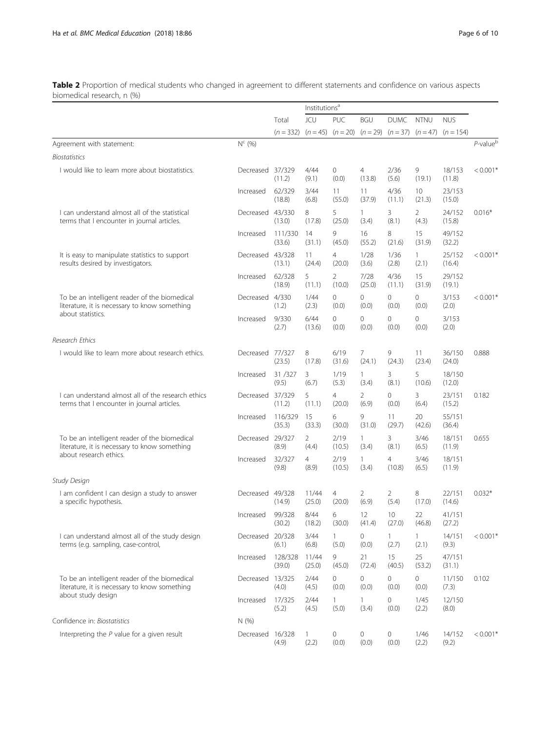<span id="page-5-0"></span>Table 2 Proportion of medical students who changed in agreement to different statements and confidence on various aspects biomedical research, n (%)

|                                                                                                   |                  |                   | Institutions <sup>a</sup> |                          |                         |                  |                         |                                                        |                |
|---------------------------------------------------------------------------------------------------|------------------|-------------------|---------------------------|--------------------------|-------------------------|------------------|-------------------------|--------------------------------------------------------|----------------|
|                                                                                                   |                  | Total             | JCU                       | PUC                      | <b>BGU</b>              | <b>DUMC</b>      | <b>NTNU</b>             | <b>NUS</b>                                             |                |
|                                                                                                   |                  | $(n = 332)$       |                           |                          |                         |                  |                         | $(n=45)$ $(n=20)$ $(n=29)$ $(n=37)$ $(n=47)$ $(n=154)$ |                |
| Agreement with statement:                                                                         | $N^c$ (%)        |                   |                           |                          |                         |                  |                         |                                                        | $P$ -value $b$ |
| <b>Biostatistics</b>                                                                              |                  |                   |                           |                          |                         |                  |                         |                                                        |                |
| I would like to learn more about biostatistics.                                                   | Decreased 37/329 | (11.2)            | 4/44<br>(9.1)             | 0<br>(0.0)               | 4<br>(13.8)             | 2/36<br>(5.6)    | 9<br>(19.1)             | 18/153<br>(11.8)                                       | $< 0.001*$     |
|                                                                                                   | Increased        | 62/329<br>(18.8)  | 3/44<br>(6.8)             | 11<br>(55.0)             | 11<br>(37.9)            | 4/36<br>(11.1)   | 10<br>(21.3)            | 23/153<br>(15.0)                                       |                |
| I can understand almost all of the statistical<br>terms that I encounter in journal articles.     | Decreased 43/330 | (13.0)            | 8<br>(17.8)               | 5<br>(25.0)              | $\mathbf{1}$<br>(3.4)   | 3<br>(8.1)       | $\overline{2}$<br>(4.3) | 24/152<br>(15.8)                                       | $0.016*$       |
|                                                                                                   | Increased        | 111/330<br>(33.6) | 14<br>(31.1)              | 9<br>(45.0)              | 16<br>(55.2)            | 8<br>(21.6)      | 15<br>(31.9)            | 49/152<br>(32.2)                                       |                |
| It is easy to manipulate statistics to support<br>results desired by investigators.               | Decreased 43/328 | (13.1)            | 11<br>(24.4)              | 4<br>(20.0)              | 1/28<br>(3.6)           | 1/36<br>(2.8)    | $\mathbf{1}$<br>(2.1)   | 25/152<br>(16.4)                                       | $< 0.001*$     |
|                                                                                                   | Increased        | 62/328<br>(18.9)  | 5<br>(11.1)               | 2<br>(10.0)              | 7/28<br>(25.0)          | 4/36<br>(11.1)   | 15<br>(31.9)            | 29/152<br>(19.1)                                       |                |
| To be an intelligent reader of the biomedical<br>literature, it is necessary to know something    | Decreased 4/330  | (1.2)             | 1/44<br>(2.3)             | 0<br>(0.0)               | 0<br>(0.0)              | 0<br>(0.0)       | 0<br>(0.0)              | 3/153<br>(2.0)                                         | $< 0.001*$     |
| about statistics.                                                                                 | Increased        | 9/330<br>(2.7)    | 6/44<br>(13.6)            | 0<br>(0.0)               | $\circ$<br>(0.0)        | 0<br>(0.0)       | 0<br>(0.0)              | 3/153<br>(2.0)                                         |                |
| Research Ethics                                                                                   |                  |                   |                           |                          |                         |                  |                         |                                                        |                |
| I would like to learn more about research ethics.                                                 | Decreased 77/327 | (23.5)            | 8<br>(17.8)               | 6/19<br>(31.6)           | 7<br>(24.1)             | 9<br>(24.3)      | 11<br>(23.4)            | 36/150<br>(24.0)                                       | 0.888          |
|                                                                                                   | Increased        | 31/327<br>(9.5)   | 3<br>(6.7)                | 1/19<br>(5.3)            | $\mathbf{1}$<br>(3.4)   | 3<br>(8.1)       | 5<br>(10.6)             | 18/150<br>(12.0)                                       |                |
| I can understand almost all of the research ethics<br>terms that I encounter in journal articles. | Decreased 37/329 | (11.2)            | 5<br>(11.1)               | $\overline{4}$<br>(20.0) | $\overline{2}$<br>(6.9) | 0<br>(0.0)       | 3<br>(6.4)              | 23/151<br>(15.2)                                       | 0.182          |
|                                                                                                   | Increased        | 116/329<br>(35.3) | 15<br>(33.3)              | 6<br>(30.0)              | 9<br>(31.0)             | 11<br>(29.7)     | 20<br>(42.6)            | 55/151<br>(36.4)                                       |                |
| To be an intelligent reader of the biomedical<br>literature, it is necessary to know something    | Decreased        | 29/327<br>(8.9)   | $\overline{2}$<br>(4.4)   | 2/19<br>(10.5)           | $\mathbf{1}$<br>(3.4)   | 3<br>(8.1)       | 3/46<br>(6.5)           | 18/151<br>(11.9)                                       | 0.655          |
| about research ethics.                                                                            | Increased        | 32/327<br>(9.8)   | 4<br>(8.9)                | 2/19<br>(10.5)           | $\mathbf{1}$<br>(3.4)   | 4<br>(10.8)      | 3/46<br>(6.5)           | 18/151<br>(11.9)                                       |                |
| Study Design                                                                                      |                  |                   |                           |                          |                         |                  |                         |                                                        |                |
| I am confident I can design a study to answer<br>a specific hypothesis.                           | Decreased        | 49/328<br>(14.9)  | 11/44<br>(25.0)           | 4<br>(20.0)              | 2<br>(6.9)              | 2<br>(5.4)       | 8<br>(17.0)             | 22/151<br>(14.6)                                       | $0.032*$       |
|                                                                                                   | Increased        | 99/328<br>(30.2)  | 8/44<br>(18.2)            | 6<br>(30.0)              | 12<br>(41.4)            | 10<br>(27.0)     | 22<br>(46.8)            | 41/151<br>(27.2)                                       |                |
| I can understand almost all of the study design<br>terms (e.g. sampling, case-control,            | Decreased        | 20/328<br>(6.1)   | 3/44<br>(6.8)             | 1<br>(5.0)               | 0<br>(0.0)              | 1<br>(2.7)       | $\mathbf{1}$<br>(2.1)   | 14/151<br>(9.3)                                        | $< 0.001*$     |
|                                                                                                   | Increased        | 128/328<br>(39.0) | 11/44<br>(25.0)           | 9<br>(45.0)              | 21<br>(72.4)            | 15<br>(40.5)     | 25<br>(53.2)            | 47/151<br>(31.1)                                       |                |
| To be an intelligent reader of the biomedical<br>literature, it is necessary to know something    | Decreased        | 13/325<br>(4.0)   | 2/44<br>(4.5)             | 0<br>(0.0)               | $\circ$<br>(0.0)        | 0<br>(0.0)       | 0<br>(0.0)              | 11/150<br>(7.3)                                        | 0.102          |
| about study design                                                                                | Increased        | 17/325<br>(5.2)   | 2/44<br>(4.5)             | $\mathbf{1}$<br>(5.0)    | $\mathbf{1}$<br>(3.4)   | 0<br>(0.0)       | 1/45<br>(2.2)           | 12/150<br>(8.0)                                        |                |
| Confidence in: Biostatistics                                                                      | N(% )            |                   |                           |                          |                         |                  |                         |                                                        |                |
| Interpreting the $P$ value for a given result                                                     | Decreased 16/328 | (4.9)             | 1<br>(2.2)                | 0<br>(0.0)               | 0<br>(0.0)              | $\circ$<br>(0.0) | 1/46<br>(2.2)           | 14/152<br>(9.2)                                        | $< 0.001*$     |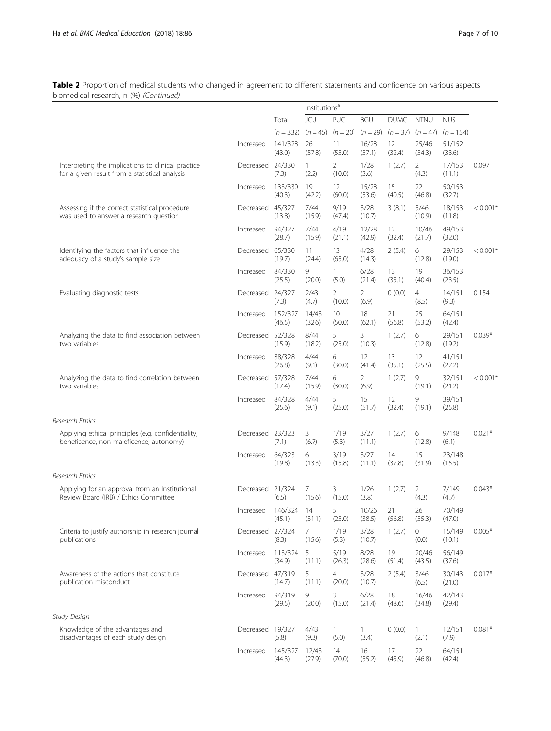Table 2 Proportion of medical students who changed in agreement to different statements and confidence on various aspects biomedical research, n (%) (Continued)

|                                                                                                      |                  |                   | Institutions <sup>a</sup> |                          |                 |              |                 |                  |            |
|------------------------------------------------------------------------------------------------------|------------------|-------------------|---------------------------|--------------------------|-----------------|--------------|-----------------|------------------|------------|
|                                                                                                      |                  | Total             | JCU                       | PUC                      | <b>BGU</b>      | <b>DUMC</b>  | <b>NTNU</b>     | <b>NUS</b>       |            |
|                                                                                                      |                  | $(n = 332)$       | $(n = 45)$                | $(n = 20)$               | $(n = 29)$      | $(n = 37)$   | $(n = 47)$      | $(n = 154)$      |            |
|                                                                                                      | Increased        | 141/328<br>(43.0) | 26<br>(57.8)              | 11<br>(55.0)             | 16/28<br>(57.1) | 12<br>(32.4) | 25/46<br>(54.3) | 51/152<br>(33.6) |            |
| Interpreting the implications to clinical practice<br>for a given result from a statistical analysis | Decreased 24/330 | (7.3)             | 1<br>(2.2)                | $\overline{2}$<br>(10.0) | 1/28<br>(3.6)   | 1(2.7)       | 2<br>(4.3)      | 17/153<br>(11.1) | 0.097      |
|                                                                                                      | Increased        | 133/330<br>(40.3) | 19<br>(42.2)              | 12<br>(60.0)             | 15/28<br>(53.6) | 15<br>(40.5) | 22<br>(46.8)    | 50/153<br>(32.7) |            |
| Assessing if the correct statistical procedure<br>was used to answer a research question             | Decreased 45/327 | (13.8)            | 7/44<br>(15.9)            | 9/19<br>(47.4)           | 3/28<br>(10.7)  | 3(8.1)       | 5/46<br>(10.9)  | 18/153<br>(11.8) | $< 0.001*$ |
|                                                                                                      | Increased        | 94/327<br>(28.7)  | 7/44<br>(15.9)            | 4/19<br>(21.1)           | 12/28<br>(42.9) | 12<br>(32.4) | 10/46<br>(21.7) | 49/153<br>(32.0) |            |
| Identifying the factors that influence the<br>adequacy of a study's sample size                      | Decreased 65/330 | (19.7)            | 11<br>(24.4)              | 13<br>(65.0)             | 4/28<br>(14.3)  | 2(5.4)       | 6<br>(12.8)     | 29/153<br>(19.0) | $< 0.001*$ |
|                                                                                                      | Increased        | 84/330<br>(25.5)  | 9<br>(20.0)               | $\mathbf{1}$<br>(5.0)    | 6/28<br>(21.4)  | 13<br>(35.1) | 19<br>(40.4)    | 36/153<br>(23.5) |            |
| Evaluating diagnostic tests                                                                          | Decreased 24/327 | (7.3)             | 2/43<br>(4.7)             | $\overline{2}$<br>(10.0) | 2<br>(6.9)      | 0(0.0)       | 4<br>(8.5)      | 14/151<br>(9.3)  | 0.154      |
|                                                                                                      | Increased        | 152/327<br>(46.5) | 14/43<br>(32.6)           | 10<br>(50.0)             | 18<br>(62.1)    | 21<br>(56.8) | 25<br>(53.2)    | 64/151<br>(42.4) |            |
| Analyzing the data to find association between<br>two variables                                      | Decreased        | 52/328<br>(15.9)  | 8/44<br>(18.2)            | 5<br>(25.0)              | 3<br>(10.3)     | 1(2.7)       | 6<br>(12.8)     | 29/151<br>(19.2) | $0.039*$   |
|                                                                                                      | Increased        | 88/328<br>(26.8)  | 4/44<br>(9.1)             | 6<br>(30.0)              | 12<br>(41.4)    | 13<br>(35.1) | 12<br>(25.5)    | 41/151<br>(27.2) |            |
| Analyzing the data to find correlation between<br>two variables                                      | Decreased 57/328 | (17.4)            | 7/44<br>(15.9)            | 6<br>(30.0)              | 2<br>(6.9)      | 1(2.7)       | 9<br>(19.1)     | 32/151<br>(21.2) | $< 0.001*$ |
|                                                                                                      | Increased        | 84/328<br>(25.6)  | 4/44<br>(9.1)             | 5<br>(25.0)              | 15<br>(51.7)    | 12<br>(32.4) | 9<br>(19.1)     | 39/151<br>(25.8) |            |
| Research Ethics                                                                                      |                  |                   |                           |                          |                 |              |                 |                  |            |
| Applying ethical principles (e.g. confidentiality,<br>beneficence, non-maleficence, autonomy)        | Decreased 23/323 | (7.1)             | 3<br>(6.7)                | 1/19<br>(5.3)            | 3/27<br>(11.1)  | 1(2.7)       | 6<br>(12.8)     | 9/148<br>(6.1)   | $0.021*$   |
|                                                                                                      | Increased        | 64/323<br>(19.8)  | 6<br>(13.3)               | 3/19<br>(15.8)           | 3/27<br>(11.1)  | 14<br>(37.8) | 15<br>(31.9)    | 23/148<br>(15.5) |            |
| Research Ethics                                                                                      |                  |                   |                           |                          |                 |              |                 |                  |            |
| Applying for an approval from an Institutional<br>Review Board (IRB) / Ethics Committee              | Decreased 21/324 | (6.5)             | 7<br>(15.6)               | 3<br>(15.0)              | 1/26<br>(3.8)   | 1(2.7)       | 2<br>(4.3)      | 7/149<br>(4.7)   | $0.043*$   |
|                                                                                                      | Increased        | 146/324<br>(45.1) | -14<br>(31.1)             | 5<br>(25.0)              | 10/26<br>(38.5) | 21<br>(56.8) | 26<br>(55.3)    | 70/149<br>(47.0) |            |
| Criteria to justify authorship in research journal<br>publications                                   | Decreased 27/324 | (8.3)             | 7<br>(15.6)               | 1/19<br>(5.3)            | 3/28<br>(10.7)  | 1(2.7)       | 0<br>(0.0)      | 15/149<br>(10.1) | $0.005*$   |
|                                                                                                      | Increased        | 113/324<br>(34.9) | 5<br>(11.1)               | 5/19<br>(26.3)           | 8/28<br>(28.6)  | 19<br>(51.4) | 20/46<br>(43.5) | 56/149<br>(37.6) |            |
| Awareness of the actions that constitute<br>publication misconduct                                   | Decreased 47/319 | (14.7)            | 5<br>(11.1)               | 4<br>(20.0)              | 3/28<br>(10.7)  | 2(5.4)       | 3/46<br>(6.5)   | 30/143<br>(21.0) | $0.017*$   |
|                                                                                                      | Increased        | 94/319<br>(29.5)  | 9<br>(20.0)               | 3<br>(15.0)              | 6/28<br>(21.4)  | 18<br>(48.6) | 16/46<br>(34.8) | 42/143<br>(29.4) |            |
| <b>Study Design</b>                                                                                  |                  |                   |                           |                          |                 |              |                 |                  |            |
| Knowledge of the advantages and<br>disadvantages of each study design                                | Decreased 19/327 | (5.8)             | 4/43<br>(9.3)             | 1<br>(5.0)               | 1<br>(3.4)      | 0(0.0)       | 1<br>(2.1)      | 12/151<br>(7.9)  | $0.081*$   |
|                                                                                                      | Increased        | 145/327<br>(44.3) | 12/43<br>(27.9)           | 14<br>(70.0)             | 16<br>(55.2)    | 17<br>(45.9) | 22<br>(46.8)    | 64/151<br>(42.4) |            |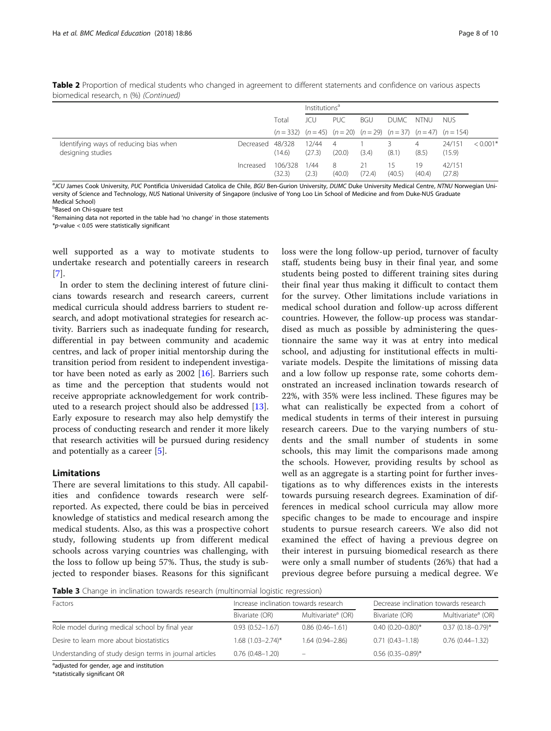<span id="page-7-0"></span>Table 2 Proportion of medical students who changed in agreement to different statements and confidence on various aspects biomedical research, n (%) (Continued)

|                                                             |           |                   | Institutions <sup>a</sup> |                          |              |              |              |                                                                                |            |
|-------------------------------------------------------------|-----------|-------------------|---------------------------|--------------------------|--------------|--------------|--------------|--------------------------------------------------------------------------------|------------|
|                                                             |           | Total             | JCU                       | <b>PUC</b>               | BGU          | <b>DUMC</b>  | ntnu         | <b>NUS</b>                                                                     |            |
|                                                             |           |                   |                           |                          |              |              |              | $(n = 332)$ $(n = 45)$ $(n = 20)$ $(n = 29)$ $(n = 37)$ $(n = 47)$ $(n = 154)$ |            |
| Identifying ways of reducing bias when<br>designing studies | Decreased | 48/328<br>(14.6)  | 12/44<br>(27.3)           | $\overline{4}$<br>(20.0) | (3.4)        | (8.1)        | 4<br>(8.5)   | 24/151<br>(15.9)                                                               | $< 0.001*$ |
|                                                             | Increased | 106/328<br>(32.3) | /44<br>(2.3)              | 8<br>(40.0)              | 21<br>(72.4) | 15<br>(40.5) | 19<br>(40.4) | 42/151<br>(27.8)                                                               |            |

<sup>a</sup>JCU James Cook University, PUC Pontificia Universidad Catolica de Chile, BGU Ben-Gurion University, DUMC Duke University Medical Centre, NTNU Norwegian University of Science and Technology, NUS National University of Singapore (inclusive of Yong Loo Lin School of Medicine and from Duke-NUS Graduate Medical School)

**b**Based on Chi-square test

<sup>c</sup>Remaining data not reported in the table had 'no change' in those statements

 $*$ *p*-value < 0.05 were statistically significant

well supported as a way to motivate students to undertake research and potentially careers in research [[7\]](#page-9-0).

In order to stem the declining interest of future clinicians towards research and research careers, current medical curricula should address barriers to student research, and adopt motivational strategies for research activity. Barriers such as inadequate funding for research, differential in pay between community and academic centres, and lack of proper initial mentorship during the transition period from resident to independent investigator have been noted as early as 2002 [\[16](#page-9-0)]. Barriers such as time and the perception that students would not receive appropriate acknowledgement for work contributed to a research project should also be addressed [\[13](#page-9-0)]. Early exposure to research may also help demystify the process of conducting research and render it more likely that research activities will be pursued during residency and potentially as a career [\[5](#page-9-0)].

## Limitations

There are several limitations to this study. All capabilities and confidence towards research were selfreported. As expected, there could be bias in perceived knowledge of statistics and medical research among the medical students. Also, as this was a prospective cohort study, following students up from different medical schools across varying countries was challenging, with the loss to follow up being 57%. Thus, the study is subjected to responder biases. Reasons for this significant loss were the long follow-up period, turnover of faculty staff, students being busy in their final year, and some students being posted to different training sites during their final year thus making it difficult to contact them for the survey. Other limitations include variations in medical school duration and follow-up across different countries. However, the follow-up process was standardised as much as possible by administering the questionnaire the same way it was at entry into medical school, and adjusting for institutional effects in multivariate models. Despite the limitations of missing data and a low follow up response rate, some cohorts demonstrated an increased inclination towards research of 22%, with 35% were less inclined. These figures may be what can realistically be expected from a cohort of medical students in terms of their interest in pursuing research careers. Due to the varying numbers of students and the small number of students in some schools, this may limit the comparisons made among the schools. However, providing results by school as well as an aggregate is a starting point for further investigations as to why differences exists in the interests towards pursuing research degrees. Examination of differences in medical school curricula may allow more specific changes to be made to encourage and inspire students to pursue research careers. We also did not examined the effect of having a previous degree on their interest in pursuing biomedical research as there were only a small number of students (26%) that had a previous degree before pursuing a medical degree. We

Table 3 Change in inclination towards research (multinomial logistic regression)

| Factors                                                 | Increase inclination towards research |                                | Decrease inclination towards research |                                |  |
|---------------------------------------------------------|---------------------------------------|--------------------------------|---------------------------------------|--------------------------------|--|
|                                                         | Bivariate (OR)                        | Multivariate <sup>a</sup> (OR) | Bivariate (OR)                        | Multivariate <sup>a</sup> (OR) |  |
| Role model during medical school by final year          | $0.93(0.52 - 1.67)$                   | $0.86(0.46 - 1.61)$            | $0.40(0.20 - 0.80)^*$                 | $0.37(0.18 - 0.79)^*$          |  |
| Desire to learn more about biostatistics                | 1.68 (1.03-2.74)*                     | $1.64(0.94 - 2.86)$            | $0.71(0.43 - 1.18)$                   | $0.76(0.44 - 1.32)$            |  |
| Understanding of study design terms in journal articles | $0.76$ $(0.48 - 1.20)$                | $\overline{\phantom{m}}$       | $0.56$ $(0.35 - 0.89)^*$              |                                |  |

<sup>a</sup>adjusted for gender, age and institution

\*statistically significant OR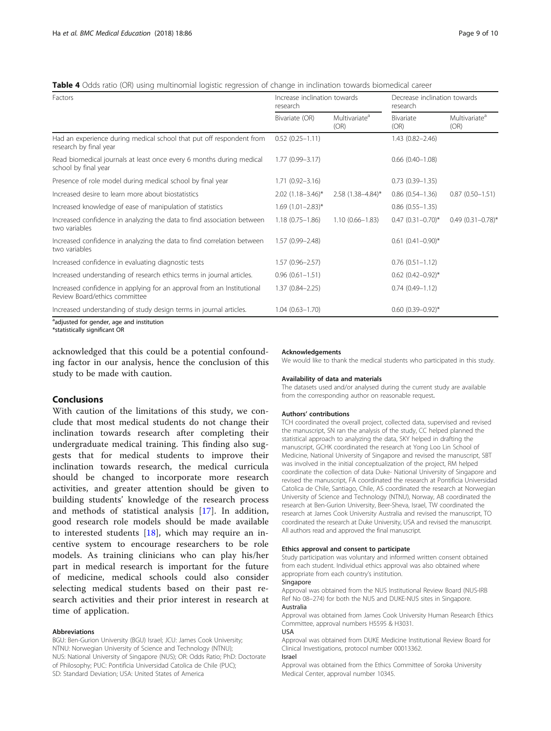<span id="page-8-0"></span>Table 4 Odds ratio (OR) using multinomial logistic regression of change in inclination towards biomedical career

| Bivariate (OR)<br>$0.52(0.25 - 1.11)$<br>$1.77(0.99 - 3.17)$<br>$1.71(0.92 - 3.16)$<br>$2.02$ (1.18-3.46)* | Multivariate <sup>a</sup><br>(OR)<br>$2.58$ (1.38-4.84)* | Bivariate<br>(OR)<br>$1.43(0.82 - 2.46)$<br>$0.66$ $(0.40 - 1.08)$<br>$0.73(0.39 - 1.35)$ | Multivariate <sup>a</sup><br>(OR) |
|------------------------------------------------------------------------------------------------------------|----------------------------------------------------------|-------------------------------------------------------------------------------------------|-----------------------------------|
|                                                                                                            |                                                          |                                                                                           |                                   |
|                                                                                                            |                                                          |                                                                                           |                                   |
|                                                                                                            |                                                          |                                                                                           |                                   |
|                                                                                                            |                                                          |                                                                                           |                                   |
|                                                                                                            |                                                          | $0.86(0.54 - 1.36)$                                                                       | $0.87(0.50 - 1.51)$               |
| $1.69$ (1.01-2.83)*                                                                                        |                                                          | $0.86(0.55 - 1.35)$                                                                       |                                   |
| $1.18(0.75 - 1.86)$                                                                                        | $1.10(0.66 - 1.83)$                                      | $0.47$ $(0.31 - 0.70)$ *                                                                  | $0.49(0.31 - 0.78)^*$             |
| 1.57 (0.99-2.48)                                                                                           |                                                          | $0.61$ $(0.41 - 0.90)^*$                                                                  |                                   |
| $1.57(0.96 - 2.57)$                                                                                        |                                                          | $0.76$ $(0.51 - 1.12)$                                                                    |                                   |
| $0.96(0.61 - 1.51)$                                                                                        |                                                          | $0.62$ $(0.42 - 0.92)$ *                                                                  |                                   |
| $1.37(0.84 - 2.25)$                                                                                        |                                                          | $0.74(0.49 - 1.12)$                                                                       |                                   |
| $1.04(0.63 - 1.70)$                                                                                        |                                                          | $0.60$ $(0.39 - 0.92)$ *                                                                  |                                   |
|                                                                                                            |                                                          |                                                                                           |                                   |

\*statistically significant OR

acknowledged that this could be a potential confounding factor in our analysis, hence the conclusion of this study to be made with caution.

## Conclusions

With caution of the limitations of this study, we conclude that most medical students do not change their inclination towards research after completing their undergraduate medical training. This finding also suggests that for medical students to improve their inclination towards research, the medical curricula should be changed to incorporate more research activities, and greater attention should be given to building students' knowledge of the research process and methods of statistical analysis [\[17](#page-9-0)]. In addition, good research role models should be made available to interested students [\[18](#page-9-0)], which may require an incentive system to encourage researchers to be role models. As training clinicians who can play his/her part in medical research is important for the future of medicine, medical schools could also consider selecting medical students based on their past research activities and their prior interest in research at time of application.

#### Abbreviations

BGU: Ben-Gurion University (BGU) Israel; JCU: James Cook University; NTNU: Norwegian University of Science and Technology (NTNU); NUS: National University of Singapore (NUS); OR: Odds Ratio; PhD: Doctorate of Philosophy; PUC: Pontificia Universidad Catolica de Chile (PUC); SD: Standard Deviation; USA: United States of America

#### **Acknowledgements**

We would like to thank the medical students who participated in this study.

#### Availability of data and materials

The datasets used and/or analysed during the current study are available from the corresponding author on reasonable request.

#### Authors' contributions

TCH coordinated the overall project, collected data, supervised and revised the manuscript, SN ran the analysis of the study, CC helped planned the statistical approach to analyzing the data, SKY helped in drafting the manuscript, GCHK coordinated the research at Yong Loo Lin School of Medicine, National University of Singapore and revised the manuscript, SBT was involved in the initial conceptualization of the project, RM helped coordinate the collection of data Duke- National University of Singapore and revised the manuscript, FA coordinated the research at Pontificia Universidad Catolica de Chile, Santiago, Chile, AS coordinated the research at Norwegian University of Science and Technology (NTNU), Norway, AB coordinated the research at Ben-Gurion University, Beer-Sheva, Israel, TW coordinated the research at James Cook University Australia and revised the manuscript, TO coordinated the research at Duke University, USA and revised the manuscript. All authors read and approved the final manuscript.

#### Ethics approval and consent to participate

Study participation was voluntary and informed written consent obtained from each student. Individual ethics approval was also obtained where appropriate from each country's institution.

#### Singapore

Approval was obtained from the NUS Institutional Review Board (NUS-IRB Ref No 08–274) for both the NUS and DUKE-NUS sites in Singapore. Australia

Approval was obtained from James Cook University Human Research Ethics Committee, approval numbers H5595 & H3031.

#### USA

Approval was obtained from DUKE Medicine Institutional Review Board for Clinical Investigations, protocol number 00013362.

#### Israel

Approval was obtained from the Ethics Committee of Soroka University Medical Center, approval number 10345.